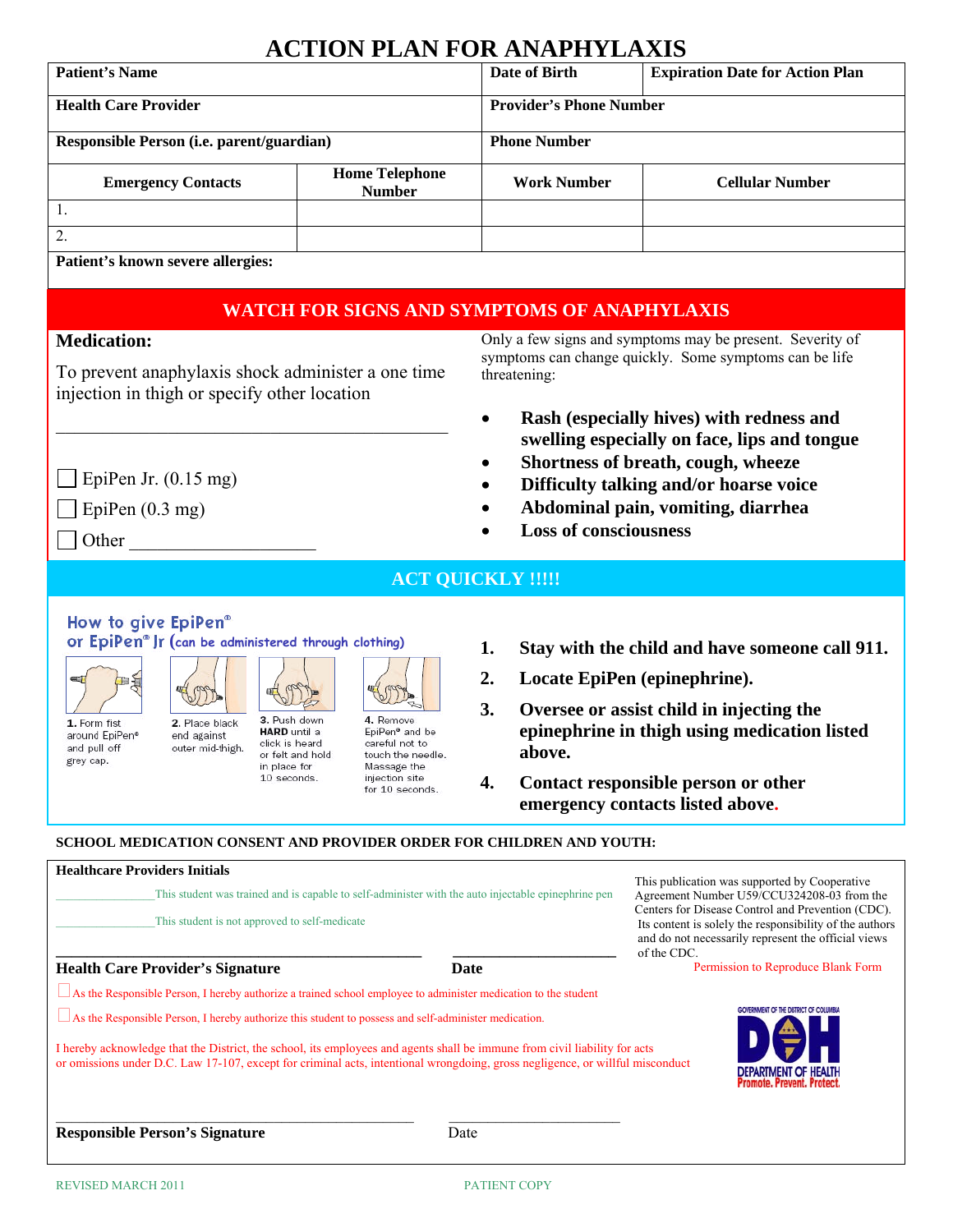# **ACTION PLAN FOR ANAPHYLAXIS**

| <b>Patient's Name</b>                     |                                        | Date of Birth                  | <b>Expiration Date for Action Plan</b> |
|-------------------------------------------|----------------------------------------|--------------------------------|----------------------------------------|
| <b>Health Care Provider</b>               |                                        | <b>Provider's Phone Number</b> |                                        |
| Responsible Person (i.e. parent/guardian) |                                        | <b>Phone Number</b>            |                                        |
| <b>Emergency Contacts</b>                 | <b>Home Telephone</b><br><b>Number</b> | <b>Work Number</b>             | <b>Cellular Number</b>                 |
|                                           |                                        |                                |                                        |
| 2.                                        |                                        |                                |                                        |
| Patient's known severe allergies:         |                                        |                                |                                        |

## **WATCH FOR SIGNS AND SYMPTOMS OF ANAPHYLAXIS**

### **Medication:**

To prevent anaphylaxis shock administer a one time injection in thigh or specify other location

 $\mathcal{L}_\text{max}$ 

Only a few signs and symptoms may be present. Severity of symptoms can change quickly. Some symptoms can be life threatening:

- **Rash (especially hives) with redness and swelling especially on face, lips and tongue**
- **Shortness of breath, cough, wheeze**
- **Difficulty talking and/or hoarse voice**
- **Abdominal pain, vomiting, diarrhea**
- **Loss of consciousness**
- EpiPen Jr.  $(0.15 \text{ mg})$
- $\Box$  EpiPen (0.3 mg)

 $\Box$  Other

**ACT QUICKLY !!!!!** 

## How to give EpiPen® **(can be administered through clothing)**





1. Form fist around EpiPen® and pull off grey cap.



**HARD** until a click is heard or felt and hold in place for 10 seconds.

叫

4. Remove EpiPen<sup>®</sup> and be careful not to touch the needle. Massage the injection site for 10 seconds.

ST

- **1. Stay with the child and have someone call 911.**
- **2. Locate EpiPen (epinephrine).**
- **3. Oversee or assist child in injecting the epinephrine in thigh using medication listed above.**
- **4. Contact responsible person or other emergency contacts listed above.**

### **SCHOOL MEDICATION CONSENT AND PROVIDER ORDER FOR CHILDREN AND YOUTH:**

| <b>Healthcare Providers Initials</b>                                                                                                                                                                                                                                                                                                                                        |      | This publication was supported by Cooperative                                                                                                                                      |
|-----------------------------------------------------------------------------------------------------------------------------------------------------------------------------------------------------------------------------------------------------------------------------------------------------------------------------------------------------------------------------|------|------------------------------------------------------------------------------------------------------------------------------------------------------------------------------------|
| This student was trained and is capable to self-administer with the auto injectable epinephrine pen                                                                                                                                                                                                                                                                         |      | Agreement Number U59/CCU324208-03 from the                                                                                                                                         |
| This student is not approved to self-medicate                                                                                                                                                                                                                                                                                                                               |      | Centers for Disease Control and Prevention (CDC).<br>Its content is solely the responsibility of the authors<br>and do not necessarily represent the official views<br>of the CDC. |
| <b>Health Care Provider's Signature</b>                                                                                                                                                                                                                                                                                                                                     | Date | Permission to Reproduce Blank Form                                                                                                                                                 |
| $\Box$ As the Responsible Person, I hereby authorize a trained school employee to administer medication to the student                                                                                                                                                                                                                                                      |      |                                                                                                                                                                                    |
| $\Box$ As the Responsible Person, I hereby authorize this student to possess and self-administer medication.<br>I hereby acknowledge that the District, the school, its employees and agents shall be immune from civil liability for acts<br>or omissions under D.C. Law 17-107, except for criminal acts, intentional wrongdoing, gross negligence, or willful misconduct |      | GOVERNMENT OF THE DISTRICT OF COLUMBIA                                                                                                                                             |
| <b>Responsible Person's Signature</b>                                                                                                                                                                                                                                                                                                                                       | Date | <b>DEPARTMENT OF HEALTH</b><br><b>Promote, Prevent, Protect</b>                                                                                                                    |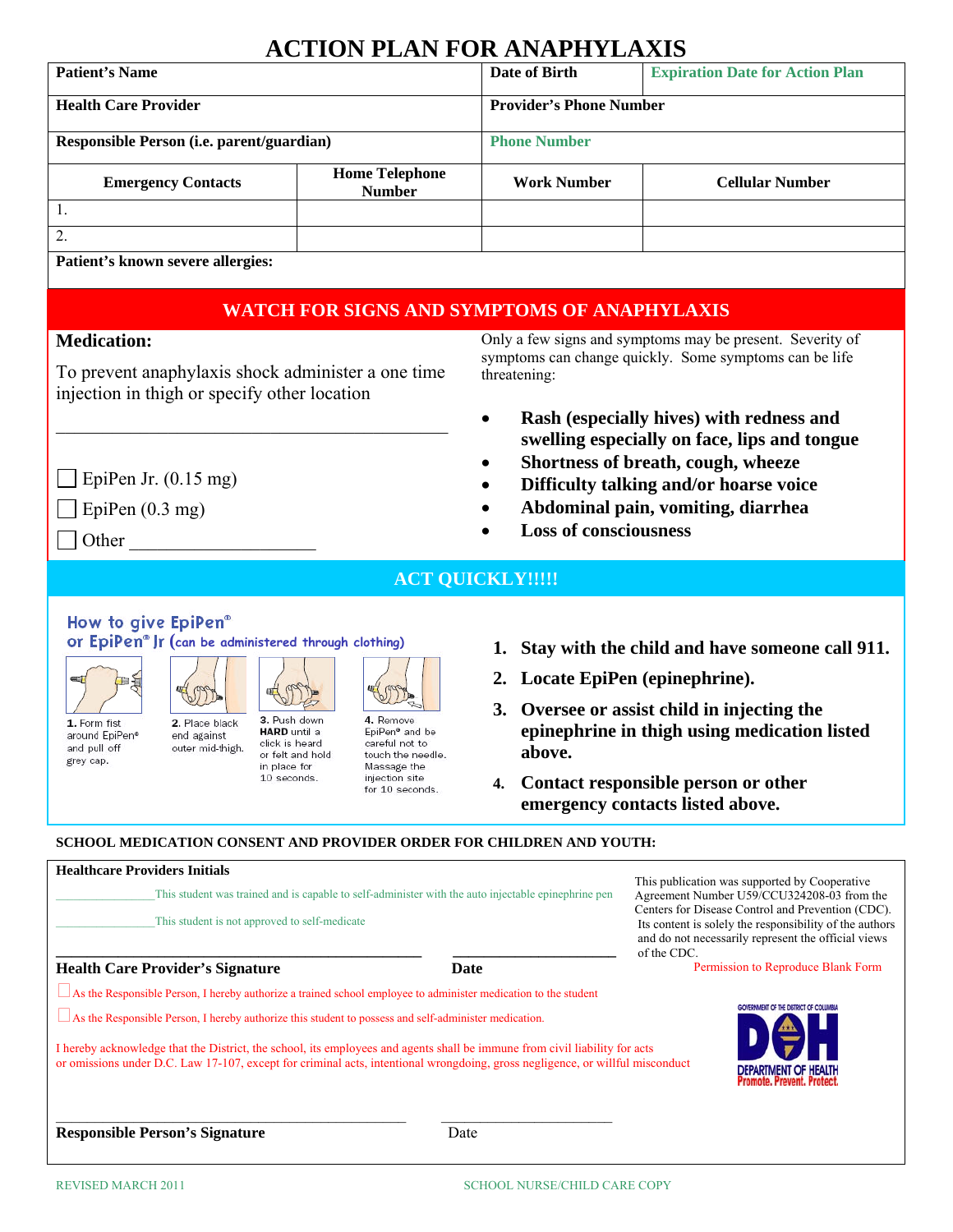# **ACTION PLAN FOR ANAPHYLAXIS**

| <b>Patient's Name</b>                     |                                        | Date of Birth                  | <b>Expiration Date for Action Plan</b> |
|-------------------------------------------|----------------------------------------|--------------------------------|----------------------------------------|
| <b>Health Care Provider</b>               |                                        | <b>Provider's Phone Number</b> |                                        |
| Responsible Person (i.e. parent/guardian) |                                        | <b>Phone Number</b>            |                                        |
| <b>Emergency Contacts</b>                 | <b>Home Telephone</b><br><b>Number</b> | <b>Work Number</b>             | <b>Cellular Number</b>                 |
|                                           |                                        |                                |                                        |
| 2.                                        |                                        |                                |                                        |
| Patient's known severe allergies.         |                                        |                                |                                        |

#### **Patient's known severe allergies:**

## **WATCH FOR SIGNS AND SYMPTOMS OF ANAPHYLAXIS**

#### **Medication:**

To prevent anaphylaxis shock administer a one time injection in thigh or specify other location

 $\mathcal{L}_\text{max}$ 

Only a few signs and symptoms may be present. Severity of symptoms can change quickly. Some symptoms can be life threatening:

- **Rash (especially hives) with redness and swelling especially on face, lips and tongue**
- **Shortness of breath, cough, wheeze**
- **Difficulty talking and/or hoarse voice**
- **Abdominal pain, vomiting, diarrhea**
- **Loss of consciousness**
- EpiPen Jr.  $(0.15 \text{ mg})$
- $\Box$  EpiPen (0.3 mg)

 $\Box$  Other

**ACT QUICKLY!!!!!** 

## How to give EpiPen® **(can be administered through clothing)**



1. Form fist around EpiPen® and pull off grey cap.



click is heard or felt and hold in place for 10 seconds.

4. Remove EpiPen<sup>®</sup> and be careful not to touch the needle. Massage the injection site for 10 seconds.

595

- **1. Stay with the child and have someone call 911.**
- **2. Locate EpiPen (epinephrine).**
- **3. Oversee or assist child in injecting the epinephrine in thigh using medication listed above.**
- **4. Contact responsible person or other emergency contacts listed above.**

#### **SCHOOL MEDICATION CONSENT AND PROVIDER ORDER FOR CHILDREN AND YOUTH:**

| <b>Healthcare Providers Initials</b><br>This student was trained and is capable to self-administer with the auto injectable epinephrine pen<br>This student is not approved to self-medicate                                                                                                                                                                                                                                                                                                   |      | This publication was supported by Cooperative<br>Agreement Number U59/CCU324208-03 from the<br>Centers for Disease Control and Prevention (CDC).<br>Its content is solely the responsibility of the authors<br>and do not necessarily represent the official views<br>of the CDC. |
|------------------------------------------------------------------------------------------------------------------------------------------------------------------------------------------------------------------------------------------------------------------------------------------------------------------------------------------------------------------------------------------------------------------------------------------------------------------------------------------------|------|-----------------------------------------------------------------------------------------------------------------------------------------------------------------------------------------------------------------------------------------------------------------------------------|
| <b>Health Care Provider's Signature</b>                                                                                                                                                                                                                                                                                                                                                                                                                                                        | Date | Permission to Reproduce Blank Form                                                                                                                                                                                                                                                |
| As the Responsible Person, I hereby authorize a trained school employee to administer medication to the student<br>$\Box$ As the Responsible Person, I hereby authorize this student to possess and self-administer medication.<br>I hereby acknowledge that the District, the school, its employees and agents shall be immune from civil liability for acts<br>or omissions under D.C. Law 17-107, except for criminal acts, intentional wrongdoing, gross negligence, or willful misconduct |      | GOVERNMENT OF THE DISTRICT OF COLUMBIA<br><b>DEPARTMENT OF HEALTH</b><br><b>Promote, Prevent, Protect.</b>                                                                                                                                                                        |
| <b>Responsible Person's Signature</b>                                                                                                                                                                                                                                                                                                                                                                                                                                                          | Date |                                                                                                                                                                                                                                                                                   |